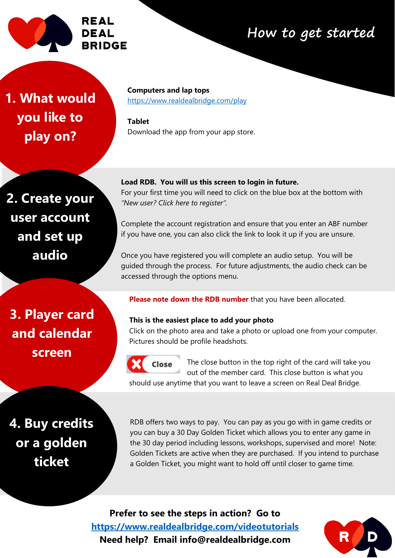

# **How to get started**

**1. What would you like to play on?**

**Computers and lap tops**  <https://www.realdealbridge.com/play>

**Tablet** Download the app from your app store.

**2. Create your user account and set up audio**

**Load RDB. You will us this screen to login in future.** For your first time you will need to click on the blue box at the bottom with *"New user? Click here to register".*

Complete the account registration and ensure that you enter an ABF number if you have one, you can also click the link to look it up if you are unsure.

Once you have registered you will complete an audio setup. You will be guided through the process. For future adjustments, the audio check can be accessed through the options menu.

**3. Player card and calendar screen**

**Please note down the RDB number** that you have been allocated.

#### **This is the easiest place to add your photo**

Click on the photo area and take a photo or upload one from your computer. Pictures should be profile headshots.



**Close** <sup>1</sup> The close button in the top right of the card will take you out of the member card. This close button is what you should use anytime that you want to leave a screen on Real Deal Bridge.

or a gold **b**<br>**br**<br>**c**<br>**c**<br>**c**<br>**c**<br>**c 4. Buy credits or a golden ticket**

RDB offers two ways to pay. You can pay as you go with in game credits or you can buy a 30 Day Golden Ticket which allows you to enter any game in the 30 day period including lessons, workshops, supervised and more! Note: Golden Tickets are active when they are purchased. If you intend to purchase a Golden Ticket, you might want to hold off until closer to game time.

**Prefer to see the steps in action? Go to <https://www.realdealbridge.com/videotutorials> Need help? Email info@realdealbridge.com**